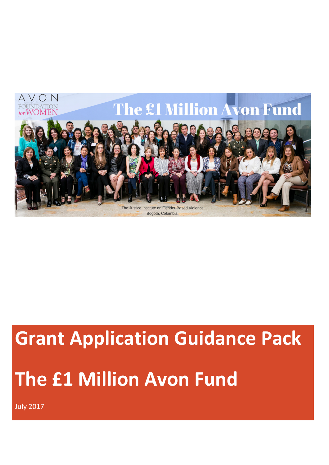

# Grant Application Guidance Pack The £1 Million Avon Fund

July 2017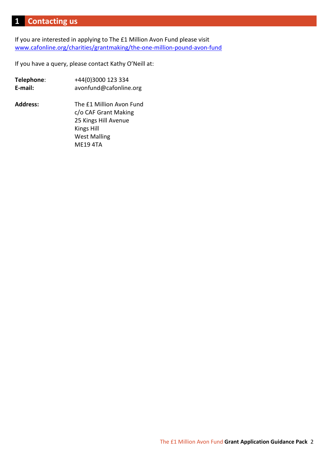## 1 Contacting us

If you are interested in applying to The £1 Million Avon Fund please visit www.cafonline.org/charities/grantmaking/the-one-million-pound-avon-fund

If you have a query, please contact Kathy O'Neill at:

| Telephone:      | +44(0)3000 123 334       |
|-----------------|--------------------------|
| E-mail:         | avonfund@cafonline.org   |
| <b>Address:</b> | The £1 Million Avon Fund |
|                 | c/o CAF Grant Making     |
|                 | 25 Kings Hill Avenue     |
|                 | <b>Kings Hill</b>        |
|                 | <b>West Malling</b>      |
|                 | <b>ME19 4TA</b>          |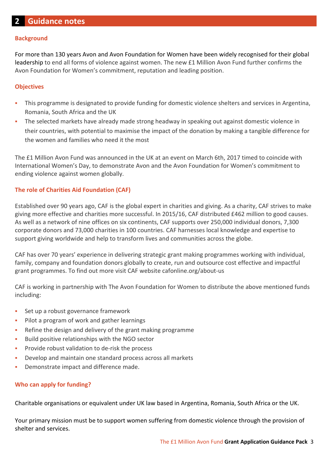## **Background**

For more than 130 years Avon and Avon Foundation for Women have been widely recognised for their global leadership to end all forms of violence against women. The new £1 Million Avon Fund further confirms the Avon Foundation for Women's commitment, reputation and leading position.

## **Objectives**

- This programme is designated to provide funding for domestic violence shelters and services in Argentina, Romania, South Africa and the UK
- The selected markets have already made strong headway in speaking out against domestic violence in their countries, with potential to maximise the impact of the donation by making a tangible difference for the women and families who need it the most

The £1 Million Avon Fund was announced in the UK at an event on March 6th, 2017 timed to coincide with International Women's Day, to demonstrate Avon and the Avon Foundation for Women's commitment to ending violence against women globally.

## The role of Charities Aid Foundation (CAF)

Established over 90 years ago, CAF is the global expert in charities and giving. As a charity, CAF strives to make giving more effective and charities more successful. In 2015/16, CAF distributed £462 million to good causes. As well as a network of nine offices on six continents, CAF supports over 250,000 individual donors, 7,300 corporate donors and 73,000 charities in 100 countries. CAF harnesses local knowledge and expertise to support giving worldwide and help to transform lives and communities across the globe.

CAF has over 70 years' experience in delivering strategic grant making programmes working with individual, family, company and foundation donors globally to create, run and outsource cost effective and impactful grant programmes. To find out more visit CAF website cafonline.org/about-us

CAF is working in partnership with The Avon Foundation for Women to distribute the above mentioned funds including:

- Set up a robust governance framework
- **Pilot a program of work and gather learnings**
- Refine the design and delivery of the grant making programme
- **Build positive relationships with the NGO sector**
- **Provide robust validation to de-risk the process**
- Develop and maintain one standard process across all markets
- **•** Demonstrate impact and difference made.

## Who can apply for funding?

Charitable organisations or equivalent under UK law based in Argentina, Romania, South Africa or the UK.

Your primary mission must be to support women suffering from domestic violence through the provision of shelter and services.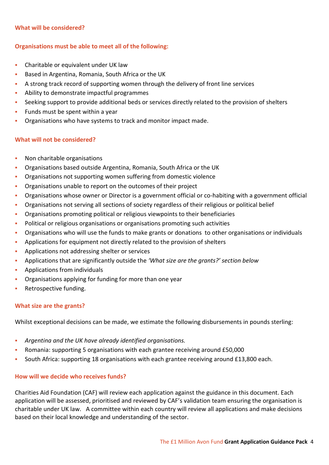## What will be considered?

## Organisations must be able to meet all of the following:

- **EXEC** Charitable or equivalent under UK law
- Based in Argentina, Romania, South Africa or the UK
- A strong track record of supporting women through the delivery of front line services
- **Ability to demonstrate impactful programmes**
- Seeking support to provide additional beds or services directly related to the provision of shelters
- Funds must be spent within a year
- Organisations who have systems to track and monitor impact made.

## What will not be considered?

- **Non charitable organisations**
- Organisations based outside Argentina, Romania, South Africa or the UK
- Organisations not supporting women suffering from domestic violence
- Organisations unable to report on the outcomes of their project
- Organisations whose owner or Director is a government official or co-habiting with a government official
- Organisations not serving all sections of society regardless of their religious or political belief
- Organisations promoting political or religious viewpoints to their beneficiaries
- Political or religious organisations or organisations promoting such activities
- Organisations who will use the funds to make grants or donations to other organisations or individuals
- Applications for equipment not directly related to the provision of shelters
- **Applications not addressing shelter or services**
- Applications that are significantly outside the 'What size are the grants?' section below
- **Applications from individuals**
- Organisations applying for funding for more than one year
- **Retrospective funding.**

## What size are the grants?

Whilst exceptional decisions can be made, we estimate the following disbursements in pounds sterling:

- Argentina and the UK have already identified organisations.
- Romania: supporting 5 organisations with each grantee receiving around £50,000
- South Africa: supporting 18 organisations with each grantee receiving around £13,800 each.

## How will we decide who receives funds?

Charities Aid Foundation (CAF) will review each application against the guidance in this document. Each application will be assessed, prioritised and reviewed by CAF's validation team ensuring the organisation is charitable under UK law. A committee within each country will review all applications and make decisions based on their local knowledge and understanding of the sector.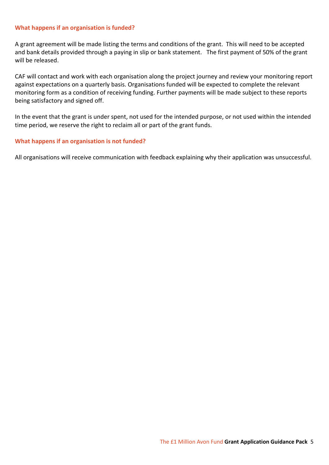## What happens if an organisation is funded?

A grant agreement will be made listing the terms and conditions of the grant. This will need to be accepted and bank details provided through a paying in slip or bank statement. The first payment of 50% of the grant will be released.

CAF will contact and work with each organisation along the project journey and review your monitoring report against expectations on a quarterly basis. Organisations funded will be expected to complete the relevant monitoring form as a condition of receiving funding. Further payments will be made subject to these reports being satisfactory and signed off.

In the event that the grant is under spent, not used for the intended purpose, or not used within the intended time period, we reserve the right to reclaim all or part of the grant funds.

## What happens if an organisation is not funded?

All organisations will receive communication with feedback explaining why their application was unsuccessful.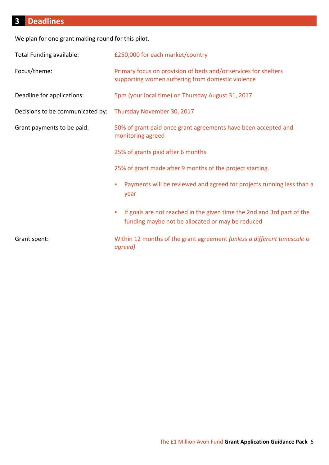# 3 Deadlines

We plan for one grant making round for this pilot.

| Total Funding available:         | £250,000 for each market/country                                                                                                |
|----------------------------------|---------------------------------------------------------------------------------------------------------------------------------|
| Focus/theme:                     | Primary focus on provision of beds and/or services for shelters<br>supporting women suffering from domestic violence            |
| Deadline for applications:       | 5pm (your local time) on Thursday August 31, 2017                                                                               |
| Decisions to be communicated by: | Thursday November 30, 2017                                                                                                      |
| Grant payments to be paid:       | 50% of grant paid once grant agreements have been accepted and<br>monitoring agreed                                             |
|                                  | 25% of grants paid after 6 months                                                                                               |
|                                  | 25% of grant made after 9 months of the project starting.                                                                       |
|                                  | Payments will be reviewed and agreed for projects running less than a<br>٠<br>year                                              |
|                                  | If goals are not reached in the given time the 2nd and 3rd part of the<br>п<br>funding maybe not be allocated or may be reduced |
| Grant spent:                     | Within 12 months of the grant agreement (unless a different timescale is<br>agreed)                                             |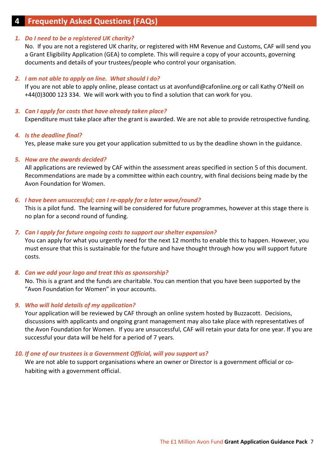## **Frequently Asked Questions (FAQs)**

## 1. Do I need to be a registered UK charity?

No. If you are not a registered UK charity, or registered with HM Revenue and Customs, CAF will send you a Grant Eligibility Application (GEA) to complete. This will require a copy of your accounts, governing documents and details of your trustees/people who control your organisation.

## 2. I am not able to apply on line. What should I do?

If you are not able to apply online, please contact us at avonfund@cafonline.org or call Kathy O'Neill on +44(0)3000 123 334. We will work with you to find a solution that can work for you.

## 3. Can I apply for costs that have already taken place?

Expenditure must take place after the grant is awarded. We are not able to provide retrospective funding.

## 4. Is the deadline final?

Yes, please make sure you get your application submitted to us by the deadline shown in the guidance.

## 5. How are the awards decided?

All applications are reviewed by CAF within the assessment areas specified in section 5 of this document. Recommendations are made by a committee within each country, with final decisions being made by the Avon Foundation for Women.

## 6. I have been unsuccessful; can I re-apply for a later wave/round?

This is a pilot fund. The learning will be considered for future programmes, however at this stage there is no plan for a second round of funding.

## 7. Can I apply for future ongoing costs to support our shelter expansion?

You can apply for what you urgently need for the next 12 months to enable this to happen. However, you must ensure that this is sustainable for the future and have thought through how you will support future costs.

## 8. Can we add your logo and treat this as sponsorship?

No. This is a grant and the funds are charitable. You can mention that you have been supported by the "Avon Foundation for Women" in your accounts.

## 9. Who will hold details of my application?

Your application will be reviewed by CAF through an online system hosted by Buzzacott. Decisions, discussions with applicants and ongoing grant management may also take place with representatives of the Avon Foundation for Women. If you are unsuccessful, CAF will retain your data for one year. If you are successful your data will be held for a period of 7 years.

#### 10. If one of our trustees is a Government Official, will you support us?

We are not able to support organisations where an owner or Director is a government official or cohabiting with a government official.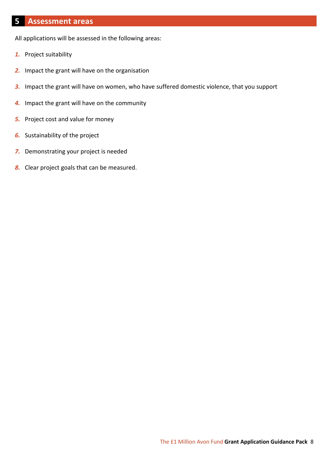## 5 Assessment areas

All applications will be assessed in the following areas:

- 1. Project suitability
- 2. Impact the grant will have on the organisation
- 3. Impact the grant will have on women, who have suffered domestic violence, that you support
- 4. Impact the grant will have on the community
- **5.** Project cost and value for money
- **6.** Sustainability of the project
- 7. Demonstrating your project is needed
- 8. Clear project goals that can be measured.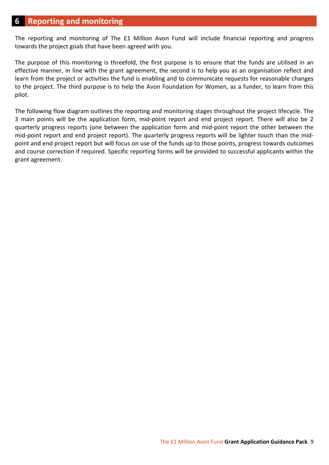## 6 Reporting and monitoring

The reporting and monitoring of The £1 Million Avon Fund will include financial reporting and progress towards the project goals that have been agreed with you.

The purpose of this monitoring is threefold, the first purpose is to ensure that the funds are utilised in an effective manner, in line with the grant agreement, the second is to help you as an organisation reflect and learn from the project or activities the fund is enabling and to communicate requests for reasonable changes to the project. The third purpose is to help the Avon Foundation for Women, as a funder, to learn from this pilot.

The following flow diagram outlines the reporting and monitoring stages throughout the project lifecycle. The 3 main points will be the application form, mid-point report and end project report. There will also be 2 quarterly progress reports (one between the application form and mid-point report the other between the mid-point report and end project report). The quarterly progress reports will be lighter touch than the midpoint and end project report but will focus on use of the funds up to those points, progress towards outcomes and course correction if required. Specific reporting forms will be provided to successful applicants within the grant agreement.